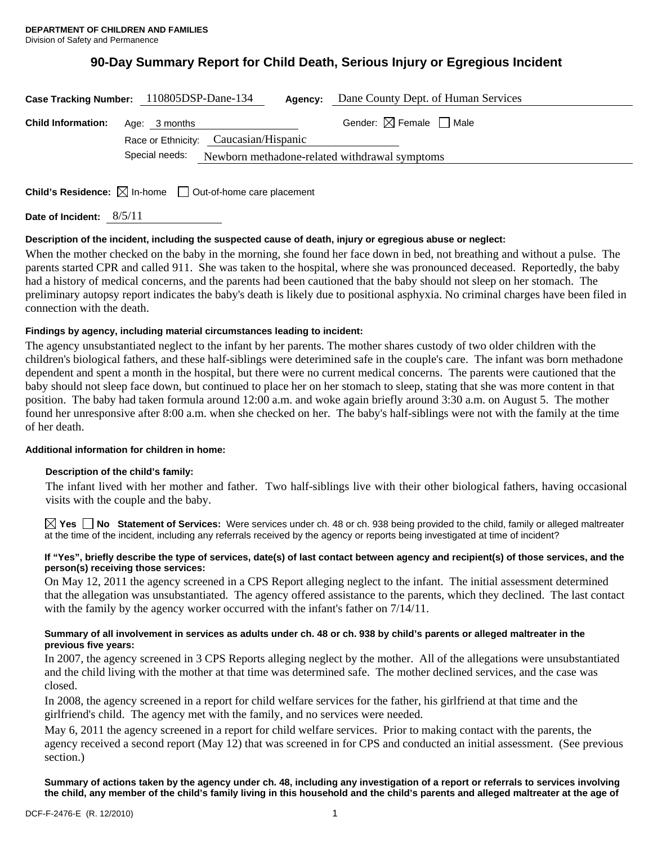# **90-Day Summary Report for Child Death, Serious Injury or Egregious Incident**

| Case Tracking Number: 110805DSP-Dane-134 |                | Agency:                                       | Dane County Dept. of Human Services    |
|------------------------------------------|----------------|-----------------------------------------------|----------------------------------------|
| <b>Child Information:</b>                | Age: 3 months  |                                               | Gender: $\boxtimes$ Female $\Box$ Male |
|                                          |                | Race or Ethnicity: Caucasian/Hispanic         |                                        |
|                                          | Special needs: | Newborn methadone-related withdrawal symptoms |                                        |
|                                          |                |                                               |                                        |

**Child's Residence:**  $\boxtimes$  In-home  $\Box$  Out-of-home care placement

**Date of Incident:** 8/5/11

# **Description of the incident, including the suspected cause of death, injury or egregious abuse or neglect:**

When the mother checked on the baby in the morning, she found her face down in bed, not breathing and without a pulse. The parents started CPR and called 911. She was taken to the hospital, where she was pronounced deceased. Reportedly, the baby had a history of medical concerns, and the parents had been cautioned that the baby should not sleep on her stomach. The preliminary autopsy report indicates the baby's death is likely due to positional asphyxia. No criminal charges have been filed in connection with the death.

# **Findings by agency, including material circumstances leading to incident:**

The agency unsubstantiated neglect to the infant by her parents. The mother shares custody of two older children with the children's biological fathers, and these half-siblings were deterimined safe in the couple's care. The infant was born methadone dependent and spent a month in the hospital, but there were no current medical concerns. The parents were cautioned that the baby should not sleep face down, but continued to place her on her stomach to sleep, stating that she was more content in that position. The baby had taken formula around 12:00 a.m. and woke again briefly around 3:30 a.m. on August 5. The mother found her unresponsive after 8:00 a.m. when she checked on her. The baby's half-siblings were not with the family at the time of her death.

### **Additional information for children in home:**

### **Description of the child's family:**

The infant lived with her mother and father. Two half-siblings live with their other biological fathers, having occasional visits with the couple and the baby.

**Yes No Statement of Services:** Were services under ch. 48 or ch. 938 being provided to the child, family or alleged maltreater at the time of the incident, including any referrals received by the agency or reports being investigated at time of incident?

### **If "Yes", briefly describe the type of services, date(s) of last contact between agency and recipient(s) of those services, and the person(s) receiving those services:**

On May 12, 2011 the agency screened in a CPS Report alleging neglect to the infant. The initial assessment determined that the allegation was unsubstantiated. The agency offered assistance to the parents, which they declined. The last contact with the family by the agency worker occurred with the infant's father on 7/14/11.

### **Summary of all involvement in services as adults under ch. 48 or ch. 938 by child's parents or alleged maltreater in the previous five years:**

In 2007, the agency screened in 3 CPS Reports alleging neglect by the mother. All of the allegations were unsubstantiated and the child living with the mother at that time was determined safe. The mother declined services, and the case was closed.

In 2008, the agency screened in a report for child welfare services for the father, his girlfriend at that time and the girlfriend's child. The agency met with the family, and no services were needed.

May 6, 2011 the agency screened in a report for child welfare services. Prior to making contact with the parents, the agency received a second report (May 12) that was screened in for CPS and conducted an initial assessment. (See previous section.)

**Summary of actions taken by the agency under ch. 48, including any investigation of a report or referrals to services involving the child, any member of the child's family living in this household and the child's parents and alleged maltreater at the age of**